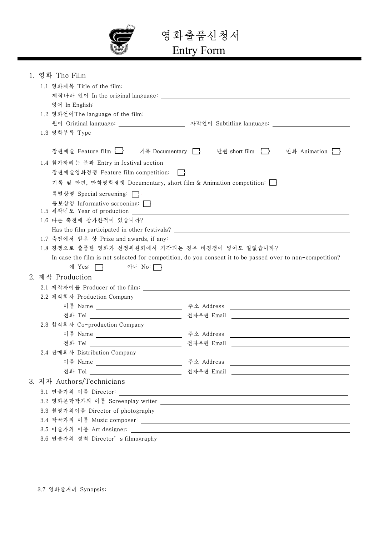

영화출품신청서

## Entry F Form

| 1. 영화 The Film                                                                              |                                                                                                                         |  |
|---------------------------------------------------------------------------------------------|-------------------------------------------------------------------------------------------------------------------------|--|
| 1.1 영화제목 Title of the film:                                                                 |                                                                                                                         |  |
|                                                                                             |                                                                                                                         |  |
|                                                                                             |                                                                                                                         |  |
| 1.2 영화언어The language of the film:                                                           |                                                                                                                         |  |
|                                                                                             | 원어 Original language: _______________________ 자막언어 Subtitling language: ___________________________                     |  |
| 1.3 영화부류 Type                                                                               |                                                                                                                         |  |
|                                                                                             |                                                                                                                         |  |
| 장편예술 Feature film _______ 기록 Documentary ______ 단편 short film _____                         | 만화 Animation                                                                                                            |  |
| 1.4 참가하려는 분과 Entry in festival section                                                      |                                                                                                                         |  |
| 장편예술영화경쟁 Feature film competition:                                                          |                                                                                                                         |  |
| 기록 및 단편, 만화영화경쟁 Documentary, short film & Animation competition: $\bigsqcup$                |                                                                                                                         |  |
| 특별상영 Special screening: □                                                                   |                                                                                                                         |  |
| 통보상영 Informative screening: __                                                              |                                                                                                                         |  |
| 1.6 다른 축전에 참가한적이 있습니까?                                                                      |                                                                                                                         |  |
|                                                                                             |                                                                                                                         |  |
| Has the film participated in other festivals? ___________________________________           |                                                                                                                         |  |
| 1.7 축전에서 받은 상 Prize and awards, if any:<br>1.8 경쟁으로 출품한 영화가 선정위원회에서 기각되는 경우 비경쟁에 넣어도 일없습니까? |                                                                                                                         |  |
|                                                                                             | In case the film is not selected for competition, do you consent it to be passed over to non-competition?               |  |
| 예 Yes: ヿ 아니 No: ヿ                                                                           |                                                                                                                         |  |
| 2. 제작 Production                                                                            |                                                                                                                         |  |
|                                                                                             |                                                                                                                         |  |
|                                                                                             |                                                                                                                         |  |
| 2.2 제작회사 Production Company                                                                 |                                                                                                                         |  |
|                                                                                             |                                                                                                                         |  |
| 2.3 합작회사 Co-production Company                                                              |                                                                                                                         |  |
|                                                                                             |                                                                                                                         |  |
| 이름 Name __________________________________ 주소 Address                                       | <u> 1989 - Johann Stoff, deutscher Stoffen und der Stoffen und der Stoffen und der Stoffen und der Stoffen und der </u> |  |
| 전화 Tel _________________________________ 전자우편 Email<br>2.4 판매회사 Distribution Company        |                                                                                                                         |  |
|                                                                                             |                                                                                                                         |  |
|                                                                                             |                                                                                                                         |  |
| 3. 저자 Authors/Technicians                                                                   |                                                                                                                         |  |
|                                                                                             |                                                                                                                         |  |
|                                                                                             |                                                                                                                         |  |
|                                                                                             |                                                                                                                         |  |
|                                                                                             |                                                                                                                         |  |
|                                                                                             |                                                                                                                         |  |
| 3.6 연출가의 경력 Director's filmography                                                          |                                                                                                                         |  |
|                                                                                             |                                                                                                                         |  |